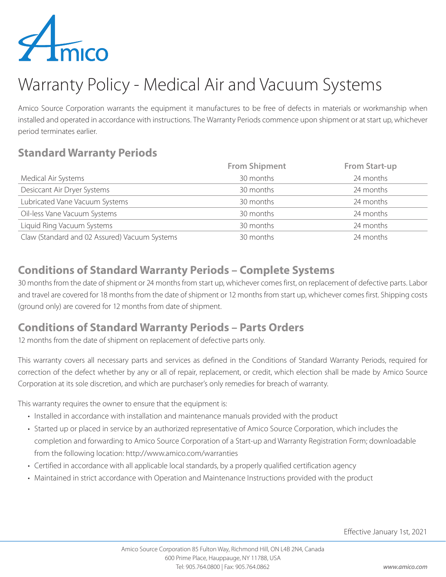

# Warranty Policy - Medical Air and Vacuum Systems

Amico Source Corporation warrants the equipment it manufactures to be free of defects in materials or workmanship when installed and operated in accordance with instructions. The Warranty Periods commence upon shipment or at start up, whichever period terminates earlier.

### **Standard Warranty Periods**

|                                               | <b>From Shipment</b> | <b>From Start-up</b> |
|-----------------------------------------------|----------------------|----------------------|
| Medical Air Systems                           | 30 months            | 24 months            |
| Desiccant Air Dryer Systems                   | 30 months            | 24 months            |
| Lubricated Vane Vacuum Systems                | 30 months            | 24 months            |
| Oil-less Vane Vacuum Systems                  | 30 months            | 24 months            |
| Liquid Ring Vacuum Systems                    | 30 months            | 24 months            |
| Claw (Standard and 02 Assured) Vacuum Systems | 30 months            | 24 months            |

### **Conditions of Standard Warranty Periods – Complete Systems**

30 months from the date of shipment or 24 months from start up, whichever comes first, on replacement of defective parts. Labor and travel are covered for 18 months from the date of shipment or 12 months from start up, whichever comes first. Shipping costs (ground only) are covered for 12 months from date of shipment.

#### **Conditions of Standard Warranty Periods – Parts Orders**

12 months from the date of shipment on replacement of defective parts only.

This warranty covers all necessary parts and services as defined in the Conditions of Standard Warranty Periods, required for correction of the defect whether by any or all of repair, replacement, or credit, which election shall be made by Amico Source Corporation at its sole discretion, and which are purchaser's only remedies for breach of warranty.

This warranty requires the owner to ensure that the equipment is:

- Installed in accordance with installation and maintenance manuals provided with the product
- Started up or placed in service by an authorized representative of Amico Source Corporation, which includes the completion and forwarding to Amico Source Corporation of a Start-up and Warranty Registration Form; downloadable from the following location: http://www.amico.com/warranties
- Certified in accordance with all applicable local standards, by a properly qualified certification agency
- Maintained in strict accordance with Operation and Maintenance Instructions provided with the product

Effective January 1st, 2021